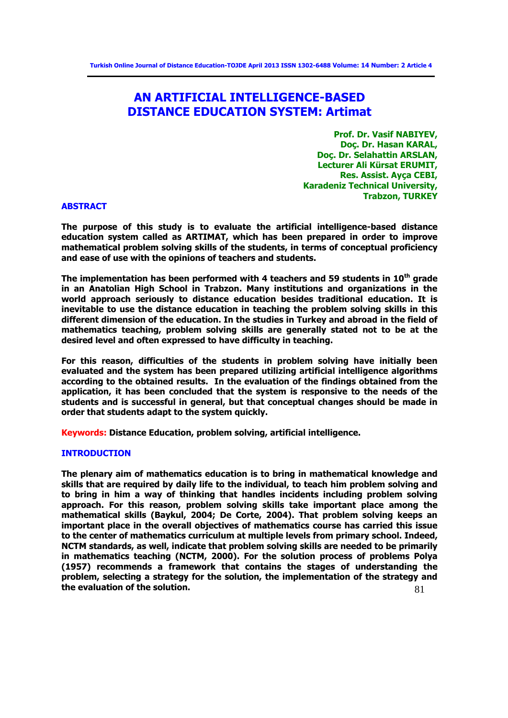# **AN ARTIFICIAL INTELLIGENCE-BASED DISTANCE EDUCATION SYSTEM: Artimat**

**Prof. Dr. Vasif NABIYEV, Doç. Dr. Hasan KARAL, Doç. Dr. Selahattin ARSLAN, Lecturer Ali Kürsat ERUMIT, Res. Assist. Ayça CEBI, Karadeniz Technical University, Trabzon, TURKEY**

#### **ABSTRACT**

**The purpose of this study is to evaluate the artificial intelligence-based distance education system called as ARTIMAT, which has been prepared in order to improve mathematical problem solving skills of the students, in terms of conceptual proficiency and ease of use with the opinions of teachers and students.** 

**The implementation has been performed with 4 teachers and 59 students in 10th grade in an Anatolian High School in Trabzon. Many institutions and organizations in the world approach seriously to distance education besides traditional education. It is inevitable to use the distance education in teaching the problem solving skills in this different dimension of the education. In the studies in Turkey and abroad in the field of mathematics teaching, problem solving skills are generally stated not to be at the desired level and often expressed to have difficulty in teaching.** 

**For this reason, difficulties of the students in problem solving have initially been evaluated and the system has been prepared utilizing artificial intelligence algorithms according to the obtained results. In the evaluation of the findings obtained from the application, it has been concluded that the system is responsive to the needs of the students and is successful in general, but that conceptual changes should be made in order that students adapt to the system quickly.** 

**Keywords: Distance Education, problem solving, artificial intelligence.**

### **INTRODUCTION**

81 **The plenary aim of mathematics education is to bring in mathematical knowledge and skills that are required by daily life to the individual, to teach him problem solving and to bring in him a way of thinking that handles incidents including problem solving approach. For this reason, problem solving skills take important place among the mathematical skills (Baykul, 2004; De Corte, 2004). That problem solving keeps an important place in the overall objectives of mathematics course has carried this issue to the center of mathematics curriculum at multiple levels from primary school. Indeed, NCTM standards, as well, indicate that problem solving skills are needed to be primarily in mathematics teaching (NCTM, 2000). For the solution process of problems Polya (1957) recommends a framework that contains the stages of understanding the problem, selecting a strategy for the solution, the implementation of the strategy and the evaluation of the solution.**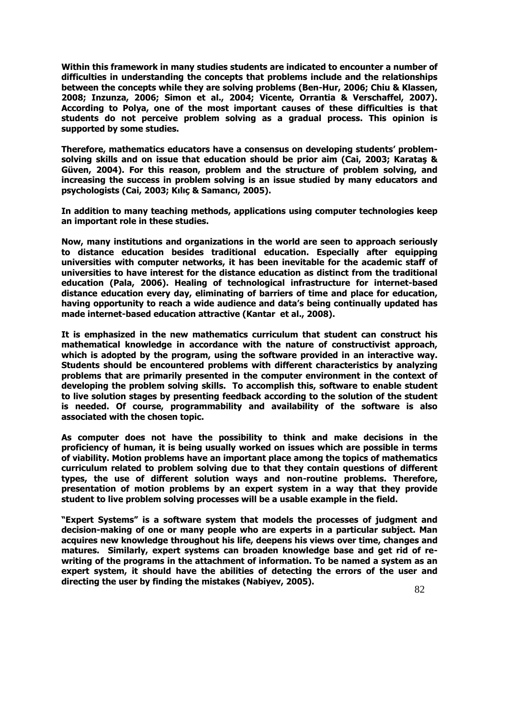**Within this framework in many studies students are indicated to encounter a number of difficulties in understanding the concepts that problems include and the relationships between the concepts while they are solving problems (Ben-Hur, 2006; Chiu & Klassen, 2008; Inzunza, 2006; Simon et al., 2004; Vicente, Orrantia & Verschaffel, 2007). According to Polya, one of the most important causes of these difficulties is that students do not perceive problem solving as a gradual process. This opinion is supported by some studies.** 

**Therefore, mathematics educators have a consensus on developing students' problemsolving skills and on issue that education should be prior aim (Cai, 2003; Karataş & Güven, 2004). For this reason, problem and the structure of problem solving, and increasing the success in problem solving is an issue studied by many educators and psychologists (Cai, 2003; Kılıç & Samancı, 2005).** 

**In addition to many teaching methods, applications using computer technologies keep an important role in these studies.** 

**Now, many institutions and organizations in the world are seen to approach seriously to distance education besides traditional education. Especially after equipping universities with computer networks, it has been inevitable for the academic staff of universities to have interest for the distance education as distinct from the traditional education (Pala, 2006). Healing of technological infrastructure for internet-based distance education every day, eliminating of barriers of time and place for education, having opportunity to reach a wide audience and data's being continually updated has made internet-based education attractive (Kantar et al., 2008).**

**It is emphasized in the new mathematics curriculum that student can construct his mathematical knowledge in accordance with the nature of constructivist approach, which is adopted by the program, using the software provided in an interactive way. Students should be encountered problems with different characteristics by analyzing problems that are primarily presented in the computer environment in the context of developing the problem solving skills. To accomplish this, software to enable student to live solution stages by presenting feedback according to the solution of the student is needed. Of course, programmability and availability of the software is also associated with the chosen topic.** 

**As computer does not have the possibility to think and make decisions in the proficiency of human, it is being usually worked on issues which are possible in terms of viability. Motion problems have an important place among the topics of mathematics curriculum related to problem solving due to that they contain questions of different types, the use of different solution ways and non-routine problems. Therefore, presentation of motion problems by an expert system in a way that they provide student to live problem solving processes will be a usable example in the field.**

**"Expert Systems" is a software system that models the processes of judgment and decision-making of one or many people who are experts in a particular subject. Man acquires new knowledge throughout his life, deepens his views over time, changes and matures. Similarly, expert systems can broaden knowledge base and get rid of rewriting of the programs in the attachment of information. To be named a system as an expert system, it should have the abilities of detecting the errors of the user and directing the user by finding the mistakes (Nabiyev, 2005).**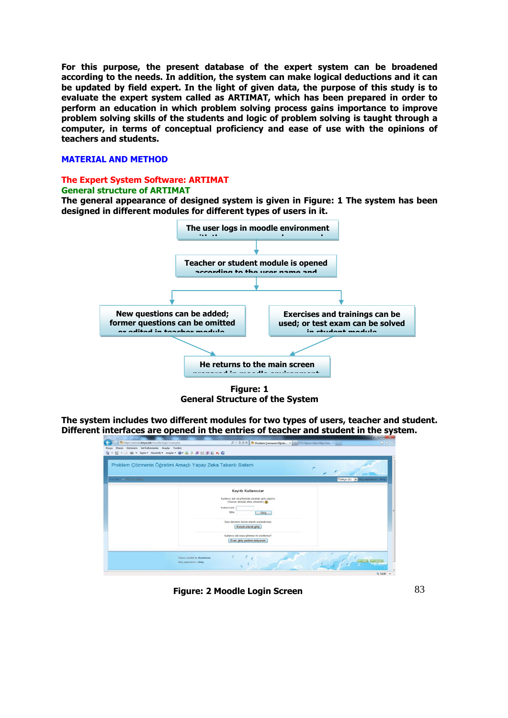**For this purpose, the present database of the expert system can be broadened according to the needs. In addition, the system can make logical deductions and it can be updated by field expert. In the light of given data, the purpose of this study is to evaluate the expert system called as ARTIMAT, which has been prepared in order to perform an education in which problem solving process gains importance to improve problem solving skills of the students and logic of problem solving is taught through a computer, in terms of conceptual proficiency and ease of use with the opinions of teachers and students.** 

#### **MATERIAL AND METHOD**

## **The Expert System Software: ARTIMAT**

### **General structure of ARTIMAT**

**The general appearance of designed system is given in Figure: 1 The system has been designed in different modules for different types of users in it.** 



**Figure: 1 General Structure of the System**

**The system includes two different modules for two types of users, teacher and student. Different interfaces are opened in the entries of teacher and student in the system.**

|                              | Problem Çözmenin Öğretimi Amaçlı Yapay Zeka Tabanlı Sistem                                                                                                                                                                                                                                          |                                      |
|------------------------------|-----------------------------------------------------------------------------------------------------------------------------------------------------------------------------------------------------------------------------------------------------------------------------------------------------|--------------------------------------|
| <b>ARTIMATA SITETE GIRLS</b> |                                                                                                                                                                                                                                                                                                     | Türkçe (tr) - Giriş yapmadınız (Giri |
|                              | Kayıtlı Kullanıcılar<br>Kullanıcı adı ve şifrenizle buradan giriş yapınız<br>(Oturum desteği etkin olmalıdır) (<br>Kullaniciadi<br>Sifre<br>Giris<br>Bazı derslere konuk olarak erişebilirsiniz<br>Konuk olarak giriş<br>Kullanıcı adı veya şifrenizi mi unuttunuz?<br>Evet giriş yardımı istiyorum |                                      |

**Figure: 2 Moodle Login Screen**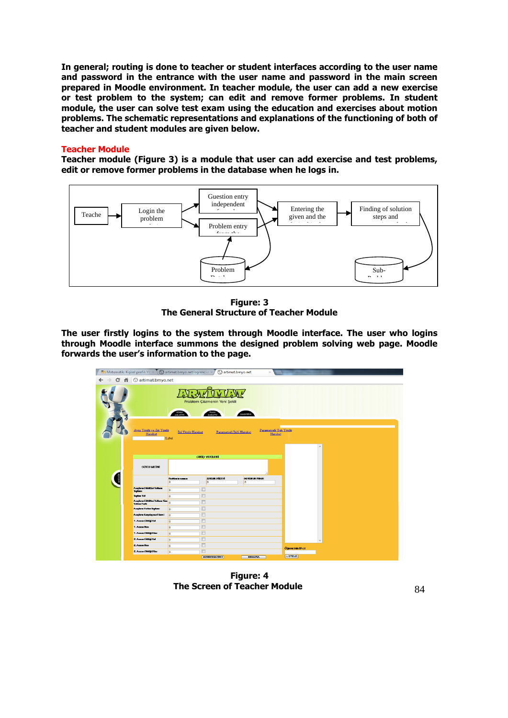**In general; routing is done to teacher or student interfaces according to the user name and password in the entrance with the user name and password in the main screen prepared in Moodle environment. In teacher module, the user can add a new exercise or test problem to the system; can edit and remove former problems. In student module, the user can solve test exam using the education and exercises about motion problems. The schematic representations and explanations of the functioning of both of teacher and student modules are given below.** 

#### **Teacher Module**

**Teacher module (Figure 3) is a module that user can add exercise and test problems, edit or remove former problems in the database when he logs in.** 



**Figure: 3 The General Structure of Teacher Module**

**The user firstly logins to the system through Moodle interface. The user who logins through Moodle interface summons the designed problem solving web page. Moodle forwards the user's information to the page.**

| <b>Tn</b> Matematik: Kişisel profil: Yo $\times$ (c) artimat.bmyo.net/ogrenci.a $\times$ |                                       |                                            | artimat.bmyo.net<br>$\times$     |                  |  |
|------------------------------------------------------------------------------------------|---------------------------------------|--------------------------------------------|----------------------------------|------------------|--|
| C <del>n</del> © artimat.bmyo.net                                                        |                                       |                                            |                                  |                  |  |
|                                                                                          | KONU                                  | Problem Çözmenin Yeni Şekli<br><b>PUAN</b> | <b>HAXXINDA</b>                  |                  |  |
| Aynı Yönlü ve Zıt Yönlü<br>Hareket                                                       | İki Yönlü Hareket<br>Label            | Parametreli İkili Hareket                  | Parametreli Tek Yönlü<br>Hareket | $\overline{a}$   |  |
|                                                                                          |                                       | <b>GIRIS VERILERI</b>                      |                                  |                  |  |
| <b>SORU METNÍ</b>                                                                        |                                       |                                            |                                  |                  |  |
|                                                                                          | <b>Problem in power a</b><br><b>O</b> | ZORLUK PÜZEYİ<br>lo                        | <b>GORDHUM PUANI</b><br>$\circ$  |                  |  |
| Aughre Gittateri Yohan                                                                   |                                       |                                            |                                  |                  |  |
| form.<br>Toylan Yol                                                                      | <b>lo</b>                             | $\Box$<br>$\Box$                           |                                  |                  |  |
| Augkann Giltitleri Yolkann Tim                                                           | <b>lo</b>                             | $\Box$                                     |                                  |                  |  |
| Youtan Farm<br>August Helm Toplan                                                        | lo                                    | $\Box$                                     |                                  |                  |  |
| Anglana Karyanyara Ginesi                                                                | $\overline{\bullet}$<br><b>lo</b>     | $\Box$                                     |                                  |                  |  |
| 1. Assum Gibball You                                                                     | $\Box$<br>$\overline{\bullet}$        |                                            |                                  |                  |  |
| 1. Associates                                                                            | $\Box$<br>$\overline{\bullet}$        |                                            |                                  |                  |  |
| 1. AugusCitation                                                                         | <b>lo</b>                             | $\Box$                                     |                                  |                  |  |
| 2. Aus = Gitter Yol                                                                      | $\overline{0}$                        | $\Box$                                     |                                  |                  |  |
| 2. Assetter                                                                              | $\overline{0}$                        | $\Box$                                     |                                  |                  |  |
| 2. Australia Sine                                                                        | $\overline{\bullet}$                  | $\Box$                                     |                                  | Öğrencinin ID ci |  |
|                                                                                          |                                       | <b>GORINUKAYPET</b>                        | <b>HESAPIA</b>                   | <b>LISTELE</b>   |  |

**Figure: 4 The Screen of Teacher Module**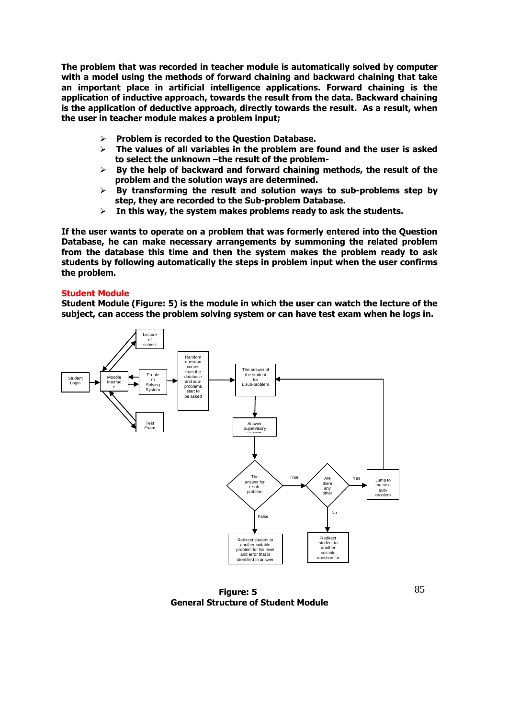**The problem that was recorded in teacher module is automatically solved by computer with a model using the methods of forward chaining and backward chaining that take an important place in artificial intelligence applications. Forward chaining is the application of inductive approach, towards the result from the data. Backward chaining is the application of deductive approach, directly towards the result. As a result, when the user in teacher module makes a problem input;**

- **Problem is recorded to the Question Database.**
- **The values of all variables in the problem are found and the user is asked to select the unknown –the result of the problem-**
- **By the help of backward and forward chaining methods, the result of the problem and the solution ways are determined.**
- **By transforming the result and solution ways to sub-problems step by step, they are recorded to the Sub-problem Database.**
- **In this way, the system makes problems ready to ask the students.**

**If the user wants to operate on a problem that was formerly entered into the Question Database, he can make necessary arrangements by summoning the related problem from the database this time and then the system makes the problem ready to ask students by following automatically the steps in problem input when the user confirms the problem.** 

### **Student Module**

**Student Module (Figure: 5) is the module in which the user can watch the lecture of the subject, can access the problem solving system or can have test exam when he logs in.** 



**Figure: 5 General Structure of Student Module**

85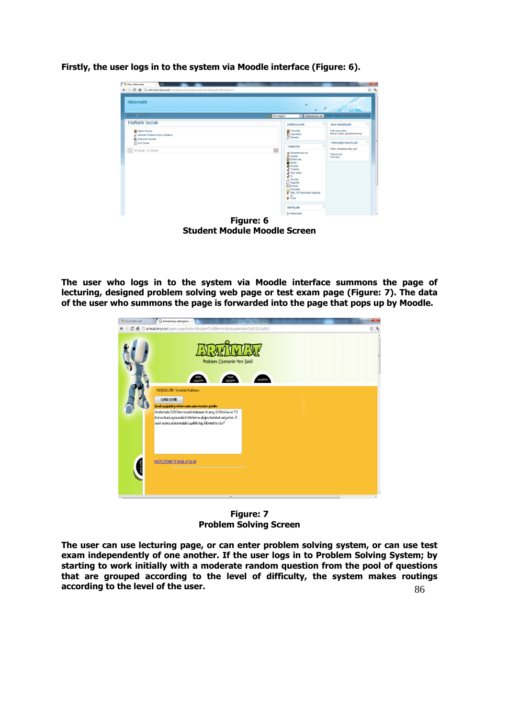

**Firstly, the user logs in to the system via Moodle interface (Figure: 6).** 

**Figure: 6 Student Module Moodle Screen**

**The user who logs in to the system via Moodle interface summons the page of lecturing, designed problem solving web page or test exam page (Figure: 7). The data of the user who summons the page is forwarded into the page that pops up by Moodle.** 



**Figure: 7 Problem Solving Screen**

86 **The user can use lecturing page, or can enter problem solving system, or can use test exam independently of one another. If the user logs in to Problem Solving System; by starting to work initially with a moderate random question from the pool of questions that are grouped according to the level of difficulty, the system makes routings according to the level of the user.**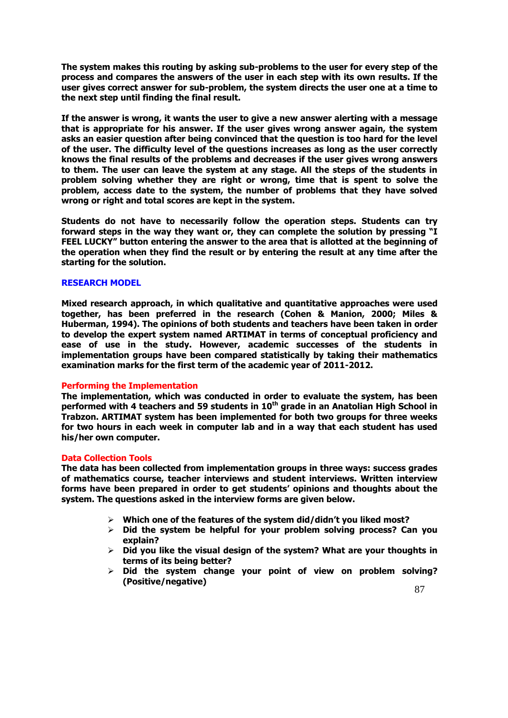**The system makes this routing by asking sub-problems to the user for every step of the process and compares the answers of the user in each step with its own results. If the user gives correct answer for sub-problem, the system directs the user one at a time to the next step until finding the final result.** 

**If the answer is wrong, it wants the user to give a new answer alerting with a message that is appropriate for his answer. If the user gives wrong answer again, the system asks an easier question after being convinced that the question is too hard for the level of the user. The difficulty level of the questions increases as long as the user correctly knows the final results of the problems and decreases if the user gives wrong answers to them. The user can leave the system at any stage. All the steps of the students in problem solving whether they are right or wrong, time that is spent to solve the problem, access date to the system, the number of problems that they have solved wrong or right and total scores are kept in the system.** 

**Students do not have to necessarily follow the operation steps. Students can try forward steps in the way they want or, they can complete the solution by pressing "I FEEL LUCKY" button entering the answer to the area that is allotted at the beginning of the operation when they find the result or by entering the result at any time after the starting for the solution.** 

### **RESEARCH MODEL**

**Mixed research approach, in which qualitative and quantitative approaches were used together, has been preferred in the research (Cohen & Manion, 2000; Miles & Huberman, 1994). The opinions of both students and teachers have been taken in order to develop the expert system named ARTIMAT in terms of conceptual proficiency and ease of use in the study. However, academic successes of the students in implementation groups have been compared statistically by taking their mathematics examination marks for the first term of the academic year of 2011-2012.** 

### **Performing the Implementation**

**The implementation, which was conducted in order to evaluate the system, has been performed with 4 teachers and 59 students in 10th grade in an Anatolian High School in Trabzon. ARTIMAT system has been implemented for both two groups for three weeks for two hours in each week in computer lab and in a way that each student has used his/her own computer.** 

### **Data Collection Tools**

**The data has been collected from implementation groups in three ways: success grades of mathematics course, teacher interviews and student interviews. Written interview forms have been prepared in order to get students' opinions and thoughts about the system. The questions asked in the interview forms are given below.**

- **Which one of the features of the system did/didn't you liked most?**
- **Did the system be helpful for your problem solving process? Can you explain?**
- **Did you like the visual design of the system? What are your thoughts in terms of its being better?**
- **Did the system change your point of view on problem solving? (Positive/negative)**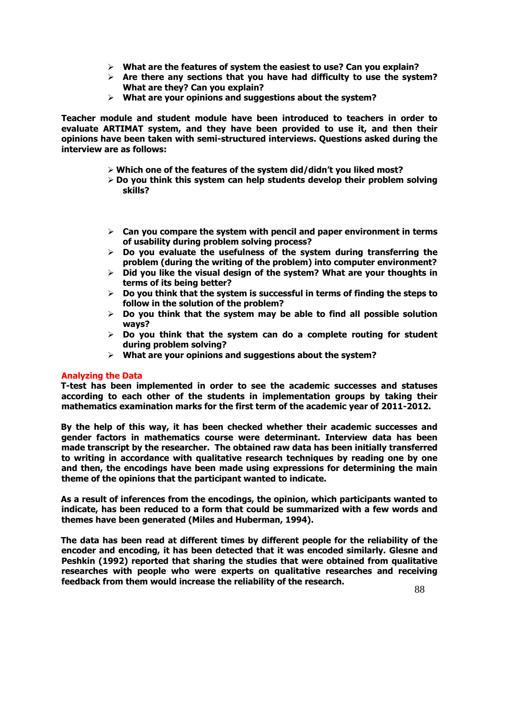- **What are the features of system the easiest to use? Can you explain?**
- **Are there any sections that you have had difficulty to use the system? What are they? Can you explain?**
- **What are your opinions and suggestions about the system?**

**Teacher module and student module have been introduced to teachers in order to evaluate ARTIMAT system, and they have been provided to use it, and then their opinions have been taken with semi-structured interviews. Questions asked during the interview are as follows:**

- **Which one of the features of the system did/didn't you liked most?**
- **Do you think this system can help students develop their problem solving skills?**
- **Can you compare the system with pencil and paper environment in terms of usability during problem solving process?**
- **Do you evaluate the usefulness of the system during transferring the problem (during the writing of the problem) into computer environment?**
- **Did you like the visual design of the system? What are your thoughts in terms of its being better?**
- **Do you think that the system is successful in terms of finding the steps to follow in the solution of the problem?**
- **Do you think that the system may be able to find all possible solution ways?**
- **Do you think that the system can do a complete routing for student during problem solving?**
- **What are your opinions and suggestions about the system?**

### **Analyzing the Data**

**T-test has been implemented in order to see the academic successes and statuses according to each other of the students in implementation groups by taking their mathematics examination marks for the first term of the academic year of 2011-2012.** 

**By the help of this way, it has been checked whether their academic successes and gender factors in mathematics course were determinant. Interview data has been made transcript by the researcher. The obtained raw data has been initially transferred to writing in accordance with qualitative research techniques by reading one by one and then, the encodings have been made using expressions for determining the main theme of the opinions that the participant wanted to indicate.** 

**As a result of inferences from the encodings, the opinion, which participants wanted to indicate, has been reduced to a form that could be summarized with a few words and themes have been generated (Miles and Huberman, 1994).** 

**The data has been read at different times by different people for the reliability of the encoder and encoding, it has been detected that it was encoded similarly. Glesne and Peshkin (1992) reported that sharing the studies that were obtained from qualitative researches with people who were experts on qualitative researches and receiving feedback from them would increase the reliability of the research.**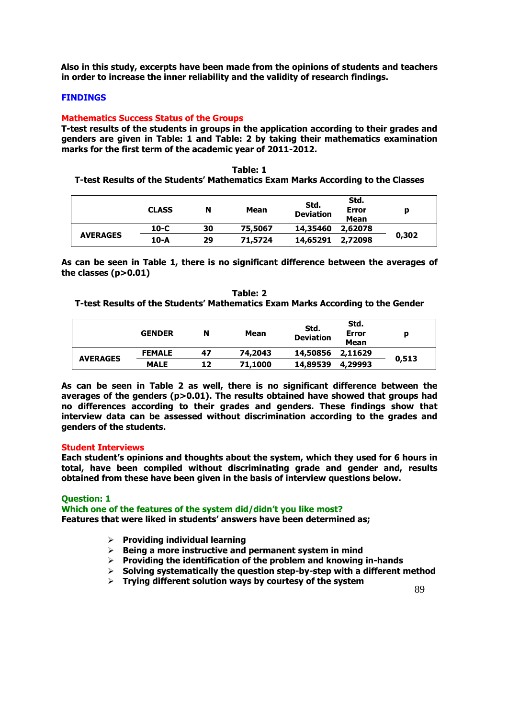**Also in this study, excerpts have been made from the opinions of students and teachers in order to increase the inner reliability and the validity of research findings.** 

### **FINDINGS**

#### **Mathematics Success Status of the Groups**

**T-test results of the students in groups in the application according to their grades and genders are given in Table: 1 and Table: 2 by taking their mathematics examination marks for the first term of the academic year of 2011-2012.**

# **Table: 1 T-test Results of the Students' Mathematics Exam Marks According to the Classes**

|                 | <b>CLASS</b> | N  | Mean    | Std.<br><b>Deviation</b> | Std.<br>Error<br>Mean | ю     |
|-----------------|--------------|----|---------|--------------------------|-----------------------|-------|
|                 | $10-C$       | 30 | 75,5067 | 14,35460                 | 2,62078               |       |
| <b>AVERAGES</b> | 10-A         | 29 | 71,5724 | 14,65291                 | 2,72098               | 0,302 |

**As can be seen in Table 1, there is no significant difference between the averages of the classes (p>0.01)**

| Table: 2                                                                       |
|--------------------------------------------------------------------------------|
| T-test Results of the Students' Mathematics Exam Marks According to the Gender |

|                 | <b>GENDER</b> | N  | Mean    | Std.<br><b>Deviation</b> | Std.<br>Error<br>Mean | p     |
|-----------------|---------------|----|---------|--------------------------|-----------------------|-------|
|                 | <b>FEMALE</b> | 47 | 74,2043 | 14,50856                 | 2,11629               |       |
| <b>AVERAGES</b> | <b>MALE</b>   | 12 | 71,1000 | 14,89539                 | 4,29993               | 0,513 |

**As can be seen in Table 2 as well, there is no significant difference between the averages of the genders (p>0.01). The results obtained have showed that groups had no differences according to their grades and genders. These findings show that interview data can be assessed without discrimination according to the grades and genders of the students.**

#### **Student Interviews**

**Each student's opinions and thoughts about the system, which they used for 6 hours in total, have been compiled without discriminating grade and gender and, results obtained from these have been given in the basis of interview questions below.** 

**Question: 1**

**Which one of the features of the system did/didn't you like most? Features that were liked in students' answers have been determined as;**

- **Providing individual learning**
- **Being a more instructive and permanent system in mind**
- **Providing the identification of the problem and knowing in-hands**
- **Solving systematically the question step-by-step with a different method**
- **Trying different solution ways by courtesy of the system**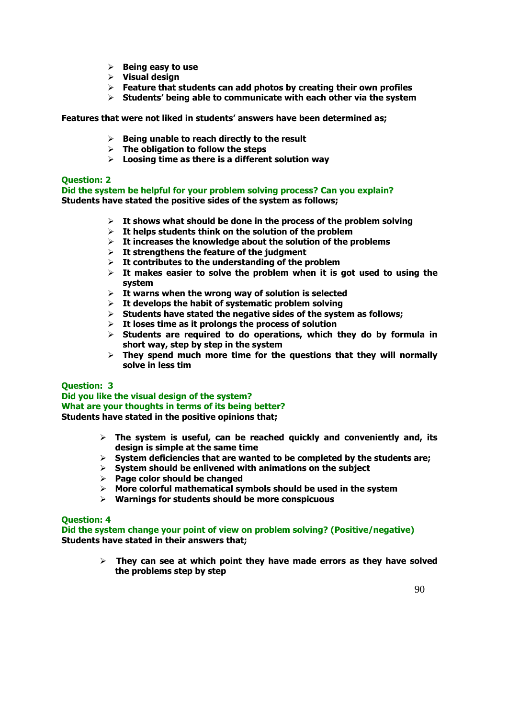- **Being easy to use**
- **Visual design**
- **Feature that students can add photos by creating their own profiles**
- **Students' being able to communicate with each other via the system**

**Features that were not liked in students' answers have been determined as;**

- **Being unable to reach directly to the result**
- **The obligation to follow the steps**
- **Loosing time as there is a different solution way**

### **Question: 2**

**Did the system be helpful for your problem solving process? Can you explain? Students have stated the positive sides of the system as follows;**

- **It shows what should be done in the process of the problem solving**
- **It helps students think on the solution of the problem**
- **It increases the knowledge about the solution of the problems**
- **It strengthens the feature of the judgment**
- **It contributes to the understanding of the problem**
- $\geq$  It makes easier to solve the problem when it is got used to using the **system**
- **It warns when the wrong way of solution is selected**
- **It develops the habit of systematic problem solving**
- **Students have stated the negative sides of the system as follows;**
- **It loses time as it prolongs the process of solution**
- **Students are required to do operations, which they do by formula in short way, step by step in the system**
- **They spend much more time for the questions that they will normally solve in less tim**

### **Question: 3**

**Did you like the visual design of the system? What are your thoughts in terms of its being better? Students have stated in the positive opinions that;**

- **The system is useful, can be reached quickly and conveniently and, its design is simple at the same time**
- **System deficiencies that are wanted to be completed by the students are;**
- **System should be enlivened with animations on the subject**
- **Page color should be changed**
- **More colorful mathematical symbols should be used in the system**
- **Warnings for students should be more conspicuous**

### **Question: 4**

**Did the system change your point of view on problem solving? (Positive/negative) Students have stated in their answers that;**

> **They can see at which point they have made errors as they have solved the problems step by step**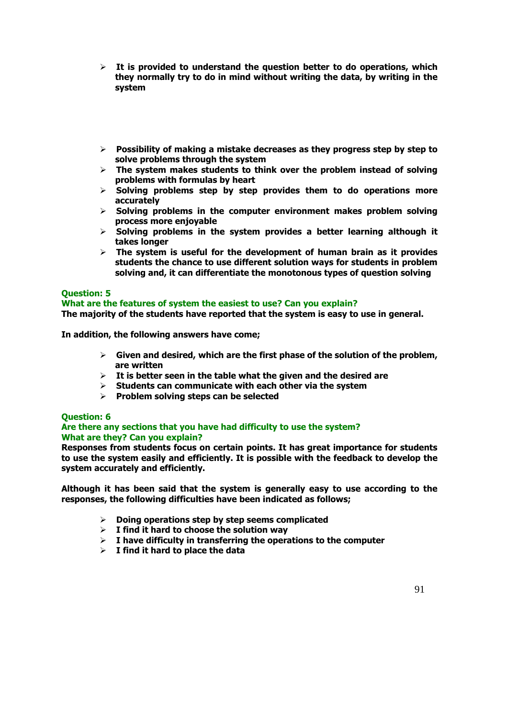- **It is provided to understand the question better to do operations, which they normally try to do in mind without writing the data, by writing in the system**
- **Possibility of making a mistake decreases as they progress step by step to solve problems through the system**
- **The system makes students to think over the problem instead of solving problems with formulas by heart**
- **Solving problems step by step provides them to do operations more accurately**
- **Solving problems in the computer environment makes problem solving process more enjoyable**
- **Solving problems in the system provides a better learning although it takes longer**
- **The system is useful for the development of human brain as it provides students the chance to use different solution ways for students in problem solving and, it can differentiate the monotonous types of question solving**

### **Question: 5**

### **What are the features of system the easiest to use? Can you explain?**

**The majority of the students have reported that the system is easy to use in general.** 

**In addition, the following answers have come;**

- **Given and desired, which are the first phase of the solution of the problem, are written**
- **It is better seen in the table what the given and the desired are**
- **Students can communicate with each other via the system**
- **Problem solving steps can be selected**

### **Question: 6**

### **Are there any sections that you have had difficulty to use the system? What are they? Can you explain?**

**Responses from students focus on certain points. It has great importance for students to use the system easily and efficiently. It is possible with the feedback to develop the system accurately and efficiently.** 

**Although it has been said that the system is generally easy to use according to the responses, the following difficulties have been indicated as follows;**

- **Doing operations step by step seems complicated**
- **I find it hard to choose the solution way**
- **I have difficulty in transferring the operations to the computer**
- **I find it hard to place the data**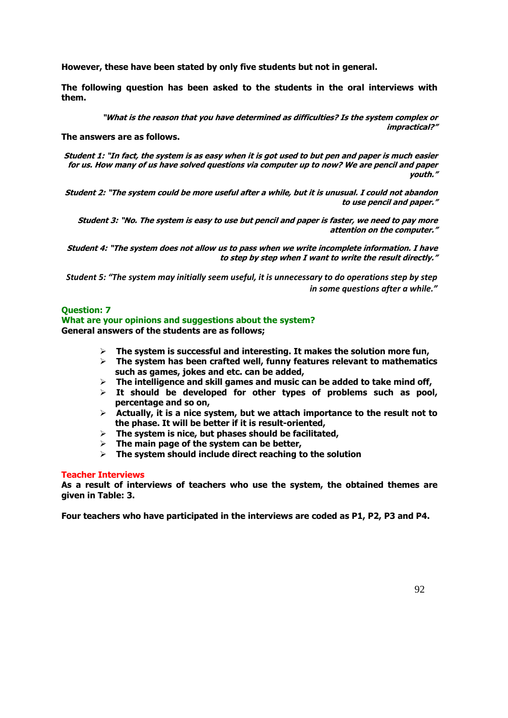**However, these have been stated by only five students but not in general.** 

**The following question has been asked to the students in the oral interviews with them.** 

> **"What is the reason that you have determined as difficulties? Is the system complex or impractical?"**

**The answers are as follows.**

**Student 1: "In fact, the system is as easy when it is got used to but pen and paper is much easier for us. How many of us have solved questions via computer up to now? We are pencil and paper youth."**

**Student 2: "The system could be more useful after a while, but it is unusual. I could not abandon to use pencil and paper."**

**Student 3: "No. The system is easy to use but pencil and paper is faster, we need to pay more attention on the computer."**

**Student 4: "The system does not allow us to pass when we write incomplete information. I have to step by step when I want to write the result directly."**

*Student 5: "The system may initially seem useful, it is unnecessary to do operations step by step in some questions after a while."* 

### **Question: 7**

#### **What are your opinions and suggestions about the system? General answers of the students are as follows;**

- **The system is successful and interesting. It makes the solution more fun,**
- **The system has been crafted well, funny features relevant to mathematics such as games, jokes and etc. can be added,**
- **The intelligence and skill games and music can be added to take mind off,**
- **It should be developed for other types of problems such as pool, percentage and so on,**
- **Actually, it is a nice system, but we attach importance to the result not to the phase. It will be better if it is result-oriented,**
- **The system is nice, but phases should be facilitated,**
- **The main page of the system can be better,**
- **The system should include direct reaching to the solution**

### **Teacher Interviews**

**As a result of interviews of teachers who use the system, the obtained themes are given in Table: 3.** 

**Four teachers who have participated in the interviews are coded as P1, P2, P3 and P4.**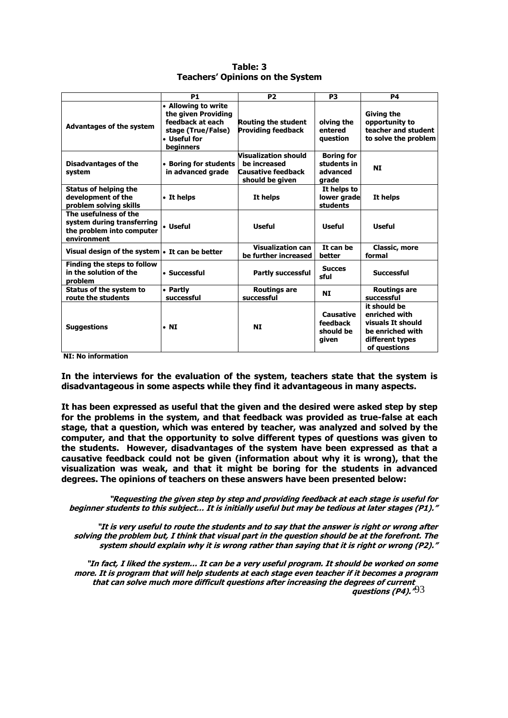|                                                                                                 | <b>P1</b>                                                                                                              | <b>P2</b>                                                                     | <b>P3</b>                                             | <b>P4</b>                                                                                                 |
|-------------------------------------------------------------------------------------------------|------------------------------------------------------------------------------------------------------------------------|-------------------------------------------------------------------------------|-------------------------------------------------------|-----------------------------------------------------------------------------------------------------------|
| <b>Advantages of the system</b>                                                                 | <b>Allowing to write</b><br>the given Providing<br>feedback at each<br>stage (True/False)<br>• Useful for<br>beginners | <b>Routing the student</b><br><b>Providing feedback</b>                       | olving the<br>entered<br>question                     | Giving the<br>opportunity to<br>teacher and student<br>to solve the problem                               |
| <b>Disadvantages of the</b><br>system                                                           | <b>Boring for students</b><br>in advanced grade                                                                        | Visualization should<br>be increased<br>Causative feedback<br>should be given | <b>Boring for</b><br>students in<br>advanced<br>grade | <b>NI</b>                                                                                                 |
| <b>Status of helping the</b><br>development of the<br>problem solving skills                    | • It helps                                                                                                             | It helps                                                                      | It helps to<br>lower grade<br>students                | It helps                                                                                                  |
| The usefulness of the<br>system during transferring<br>the problem into computer<br>environment | • Useful                                                                                                               | <b>Useful</b>                                                                 | <b>Useful</b>                                         | <b>Useful</b>                                                                                             |
| Visual design of the system • It can be better                                                  |                                                                                                                        | <b>Visualization can</b><br>be further increased                              | It can be<br>better                                   | <b>Classic, more</b><br>formal                                                                            |
| Finding the steps to follow<br>in the solution of the<br>problem                                | • Successful                                                                                                           | <b>Partly successful</b>                                                      | <b>Succes</b><br>sful                                 | <b>Successful</b>                                                                                         |
| Status of the system to<br>route the students                                                   | • Partly<br>successful                                                                                                 | Routings are<br>successful                                                    | <b>NI</b>                                             | Routings are<br>successful                                                                                |
| <b>Suggestions</b>                                                                              | $\cdot$ NI                                                                                                             | <b>NI</b>                                                                     | Causative<br>feedback<br>should be<br>given           | it should be<br>enriched with<br>visuals It should<br>be enriched with<br>different types<br>of questions |

**Table: 3 Teachers' Opinions on the System**

**NI: No information**

**In the interviews for the evaluation of the system, teachers state that the system is disadvantageous in some aspects while they find it advantageous in many aspects.** 

**It has been expressed as useful that the given and the desired were asked step by step for the problems in the system, and that feedback was provided as true-false at each stage, that a question, which was entered by teacher, was analyzed and solved by the computer, and that the opportunity to solve different types of questions was given to the students. However, disadvantages of the system have been expressed as that a causative feedback could not be given (information about why it is wrong), that the visualization was weak, and that it might be boring for the students in advanced degrees. The opinions of teachers on these answers have been presented below:** 

**"Requesting the given step by step and providing feedback at each stage is useful for beginner students to this subject… It is initially useful but may be tedious at later stages (P1)."**

**"It is very useful to route the students and to say that the answer is right or wrong after solving the problem but, I think that visual part in the question should be at the forefront. The system should explain why it is wrong rather than saying that it is right or wrong (P2)."**

guestions (P4).<sup>"93</sup> **"In fact, I liked the system… It can be a very useful program. It should be worked on some more. It is program that will help students at each stage even teacher if it becomes a program that can solve much more difficult questions after increasing the degrees of current**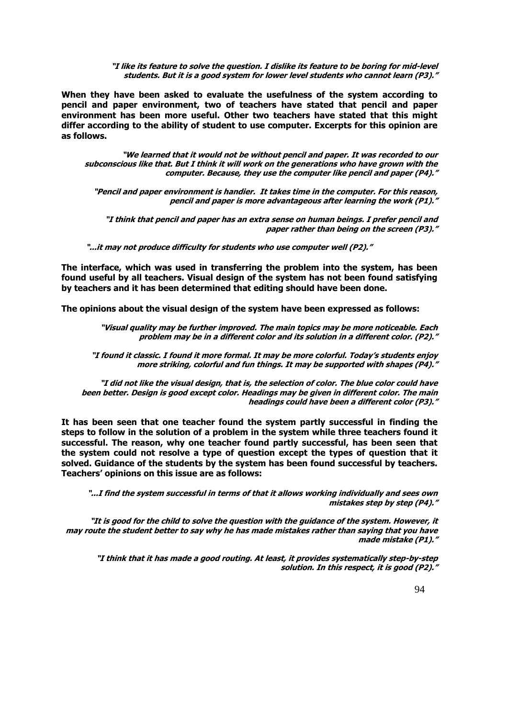**"I like its feature to solve the question. I dislike its feature to be boring for mid-level students. But it is a good system for lower level students who cannot learn (P3)."**

**When they have been asked to evaluate the usefulness of the system according to pencil and paper environment, two of teachers have stated that pencil and paper environment has been more useful. Other two teachers have stated that this might differ according to the ability of student to use computer. Excerpts for this opinion are as follows.** 

**"We learned that it would not be without pencil and paper. It was recorded to our subconscious like that. But I think it will work on the generations who have grown with the computer. Because, they use the computer like pencil and paper (P4)."**

**"Pencil and paper environment is handier. It takes time in the computer. For this reason, pencil and paper is more advantageous after learning the work (P1)."**

**"I think that pencil and paper has an extra sense on human beings. I prefer pencil and paper rather than being on the screen (P3)."**

**"...it may not produce difficulty for students who use computer well (P2)."**

**The interface, which was used in transferring the problem into the system, has been found useful by all teachers. Visual design of the system has not been found satisfying by teachers and it has been determined that editing should have been done.** 

**The opinions about the visual design of the system have been expressed as follows:** 

**"Visual quality may be further improved. The main topics may be more noticeable. Each problem may be in a different color and its solution in a different color. (P2)."**

**"I found it classic. I found it more formal. It may be more colorful. Today's students enjoy more striking, colorful and fun things. It may be supported with shapes (P4)."**

**"I did not like the visual design, that is, the selection of color. The blue color could have been better. Design is good except color. Headings may be given in different color. The main headings could have been a different color (P3)."**

**It has been seen that one teacher found the system partly successful in finding the steps to follow in the solution of a problem in the system while three teachers found it successful. The reason, why one teacher found partly successful, has been seen that the system could not resolve a type of question except the types of question that it solved. Guidance of the students by the system has been found successful by teachers. Teachers' opinions on this issue are as follows:** 

**"...I find the system successful in terms of that it allows working individually and sees own mistakes step by step (P4)."**

**"It is good for the child to solve the question with the guidance of the system. However, it may route the student better to say why he has made mistakes rather than saying that you have made mistake (P1)."**

**"I think that it has made a good routing. At least, it provides systematically step-by-step solution. In this respect, it is good (P2)."**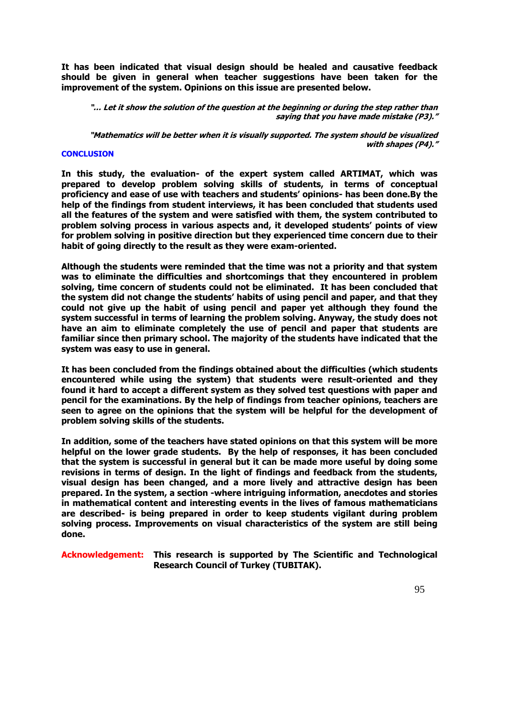**It has been indicated that visual design should be healed and causative feedback should be given in general when teacher suggestions have been taken for the improvement of the system. Opinions on this issue are presented below.**

**"… Let it show the solution of the question at the beginning or during the step rather than saying that you have made mistake (P3)."**

**"Mathematics will be better when it is visually supported. The system should be visualized with shapes (P4)."**

#### **CONCLUSION**

**In this study, the evaluation- of the expert system called ARTIMAT, which was prepared to develop problem solving skills of students, in terms of conceptual proficiency and ease of use with teachers and students' opinions- has been done.By the help of the findings from student interviews, it has been concluded that students used all the features of the system and were satisfied with them, the system contributed to problem solving process in various aspects and, it developed students' points of view for problem solving in positive direction but they experienced time concern due to their habit of going directly to the result as they were exam-oriented.** 

**Although the students were reminded that the time was not a priority and that system was to eliminate the difficulties and shortcomings that they encountered in problem solving, time concern of students could not be eliminated. It has been concluded that the system did not change the students' habits of using pencil and paper, and that they could not give up the habit of using pencil and paper yet although they found the system successful in terms of learning the problem solving. Anyway, the study does not have an aim to eliminate completely the use of pencil and paper that students are familiar since then primary school. The majority of the students have indicated that the system was easy to use in general.** 

**It has been concluded from the findings obtained about the difficulties (which students encountered while using the system) that students were result-oriented and they found it hard to accept a different system as they solved test questions with paper and pencil for the examinations. By the help of findings from teacher opinions, teachers are seen to agree on the opinions that the system will be helpful for the development of problem solving skills of the students.** 

**In addition, some of the teachers have stated opinions on that this system will be more helpful on the lower grade students. By the help of responses, it has been concluded that the system is successful in general but it can be made more useful by doing some revisions in terms of design. In the light of findings and feedback from the students, visual design has been changed, and a more lively and attractive design has been prepared. In the system, a section -where intriguing information, anecdotes and stories in mathematical content and interesting events in the lives of famous mathematicians are described- is being prepared in order to keep students vigilant during problem solving process. Improvements on visual characteristics of the system are still being done.**

**Acknowledgement: This research is supported by The Scientific and Technological Research Council of Turkey (TUBITAK).**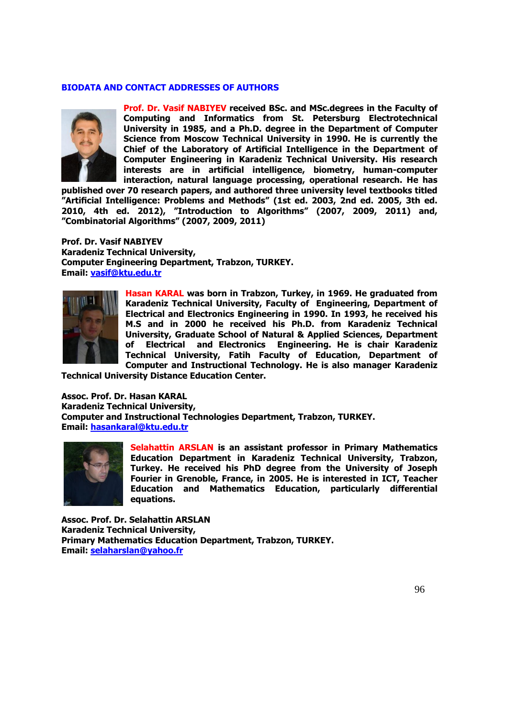### **BIODATA AND CONTACT ADDRESSES OF AUTHORS**



**Prof. Dr. Vasif NABIYEV received BSc. and MSc.degrees in the Faculty of Computing and Informatics from St. Petersburg Electrotechnical University in 1985, and a Ph.D. degree in the Department of Computer Science from Moscow Technical University in 1990. He is currently the Chief of the Laboratory of Artificial Intelligence in the Department of Computer Engineering in Karadeniz Technical University. His research interests are in artificial intelligence, biometry, human-computer interaction, natural language processing, operational research. He has** 

**published over 70 research papers, and authored three university level textbooks titled "Artificial Intelligence: Problems and Methods" (1st ed. 2003, 2nd ed. 2005, 3th ed. 2010, 4th ed. 2012), "Introduction to Algorithms" (2007, 2009, 2011) and, "Combinatorial Algorithms" (2007, 2009, 2011)**

**Prof. Dr. Vasif NABIYEV Karadeniz Technical University, Computer Engineering Department, Trabzon, TURKEY. Email: [vasif@ktu.edu.tr](mailto:vasif@ktu.edu.tr)**



**Hasan KARAL was born in Trabzon, Turkey, in 1969. He graduated from Karadeniz Technical University, Faculty of Engineering, Department of Electrical and Electronics Engineering in 1990. In 1993, he received his M.S and in 2000 he received his Ph.D. from Karadeniz Technical University, Graduate School of Natural & Applied Sciences, Department of Electrical and Electronics Engineering. He is chair Karadeniz Technical University, Fatih Faculty of Education, Department of Computer and Instructional Technology. He is also manager Karadeniz** 

**Technical University Distance Education Center.**

**Assoc. Prof. Dr. Hasan KARAL Karadeniz Technical University, Computer and Instructional Technologies Department, Trabzon, TURKEY. Email: [hasankaral@ktu.edu.tr](mailto:hasankaral@ktu.edu.tr)**



**Selahattin ARSLAN is an assistant professor in Primary Mathematics Education Department in Karadeniz Technical University, Trabzon, Turkey. He received his PhD degree from the University of Joseph Fourier in Grenoble, France, in 2005. He is interested in ICT, Teacher Education and Mathematics Education, particularly differential equations.**

**Assoc. Prof. Dr. Selahattin ARSLAN Karadeniz Technical University, Primary Mathematics Education Department, Trabzon, TURKEY. Email: [selaharslan@yahoo.fr](mailto:selaharslan@yahoo.fr)**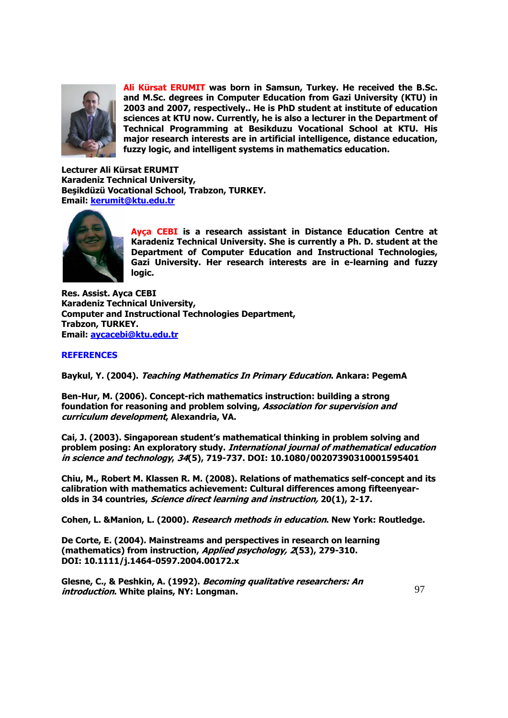

**Ali Kürsat ERUMIT was born in Samsun, Turkey. He received the B.Sc. and M.Sc. degrees in Computer Education from Gazi University (KTU) in 2003 and 2007, respectively.. He is PhD student at institute of education sciences at KTU now. Currently, he is also a lecturer in the Department of Technical Programming at Besikduzu Vocational School at KTU. His major research interests are in artificial intelligence, distance education, fuzzy logic, and intelligent systems in mathematics education.**

**Lecturer Ali Kürsat ERUMIT Karadeniz Technical University, Beşikdüzü Vocational School, Trabzon, TURKEY. Email: [kerumit@ktu.edu.tr](mailto:kerumit@ktu.edu.tr)**



**Ayça CEBI is a research assistant in Distance Education Centre at Karadeniz Technical University. She is currently a Ph. D. student at the Department of Computer Education and Instructional Technologies, Gazi University. Her research interests are in e-learning and fuzzy logic.**

**Res. Assist. Ayca CEBI Karadeniz Technical University, Computer and Instructional Technologies Department, Trabzon, TURKEY. Email: [aycacebi@ktu.edu.tr](mailto:aycacebi@ktu.edu.tr)**

### **REFERENCES**

**Baykul, Y. (2004). Teaching Mathematics In Primary Education. Ankara: PegemA** 

**Ben-Hur, M. (2006). Concept-rich mathematics instruction: building a strong foundation for reasoning and problem solving, Association for supervision and curriculum development, Alexandria, VA.**

**Cai, J. (2003). Singaporean student's mathematical thinking in problem solving and problem posing: An exploratory study. International journal of mathematical education in science and technology, 34(5), 719-737. DOI: 10.1080/00207390310001595401**

**Chiu, M., Robert M. Klassen R. M. (2008). Relations of mathematics self-concept and its calibration with mathematics achievement: Cultural differences among fifteenyearolds in 34 countries, Science direct learning and instruction, 20(1), 2-17.**

**Cohen, L. &Manion, L. (2000). Research methods in education. New York: Routledge.**

**De Corte, E. (2004). Mainstreams and perspectives in research on learning (mathematics) from instruction, Applied psychology, 2(53), 279-310. DOI: 10.1111/j.1464-0597.2004.00172.x**

**Glesne, C., & Peshkin, A. (1992). Becoming qualitative researchers: An introduction. White plains, NY: Longman.**